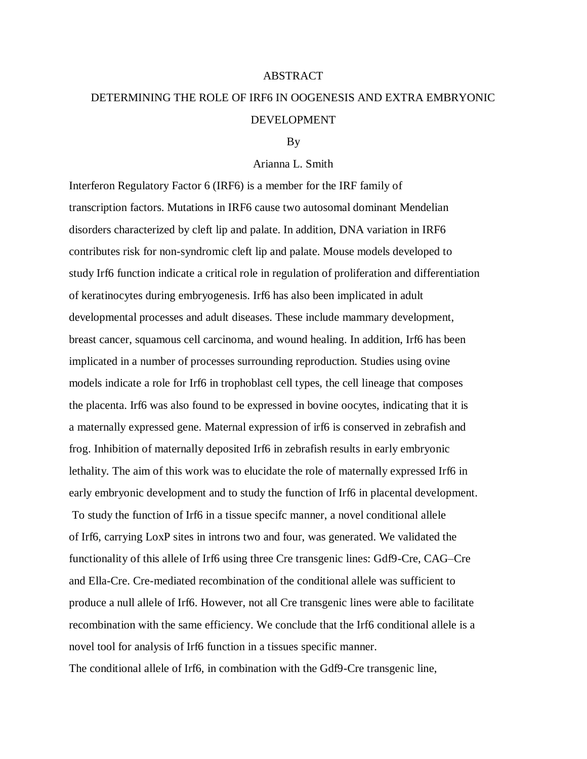## ABSTRACT

## DETERMINING THE ROLE OF IRF6 IN OOGENESIS AND EXTRA EMBRYONIC DEVELOPMENT

## By

## Arianna L. Smith

Interferon Regulatory Factor 6 (IRF6) is a member for the IRF family of transcription factors. Mutations in IRF6 cause two autosomal dominant Mendelian disorders characterized by cleft lip and palate. In addition, DNA variation in IRF6 contributes risk for non-syndromic cleft lip and palate. Mouse models developed to study Irf6 function indicate a critical role in regulation of proliferation and differentiation of keratinocytes during embryogenesis. Irf6 has also been implicated in adult developmental processes and adult diseases. These include mammary development, breast cancer, squamous cell carcinoma, and wound healing. In addition, Irf6 has been implicated in a number of processes surrounding reproduction. Studies using ovine models indicate a role for Irf6 in trophoblast cell types, the cell lineage that composes the placenta. Irf6 was also found to be expressed in bovine oocytes, indicating that it is a maternally expressed gene. Maternal expression of irf6 is conserved in zebrafish and frog. Inhibition of maternally deposited Irf6 in zebrafish results in early embryonic lethality. The aim of this work was to elucidate the role of maternally expressed Irf6 in early embryonic development and to study the function of Irf6 in placental development. To study the function of Irf6 in a tissue specifc manner, a novel conditional allele of Irf6, carrying LoxP sites in introns two and four, was generated. We validated the functionality of this allele of Irf6 using three Cre transgenic lines: Gdf9-Cre, CAG–Cre and Ella-Cre. Cre-mediated recombination of the conditional allele was sufficient to produce a null allele of Irf6. However, not all Cre transgenic lines were able to facilitate recombination with the same efficiency. We conclude that the Irf6 conditional allele is a novel tool for analysis of Irf6 function in a tissues specific manner. The conditional allele of Irf6, in combination with the Gdf9-Cre transgenic line,